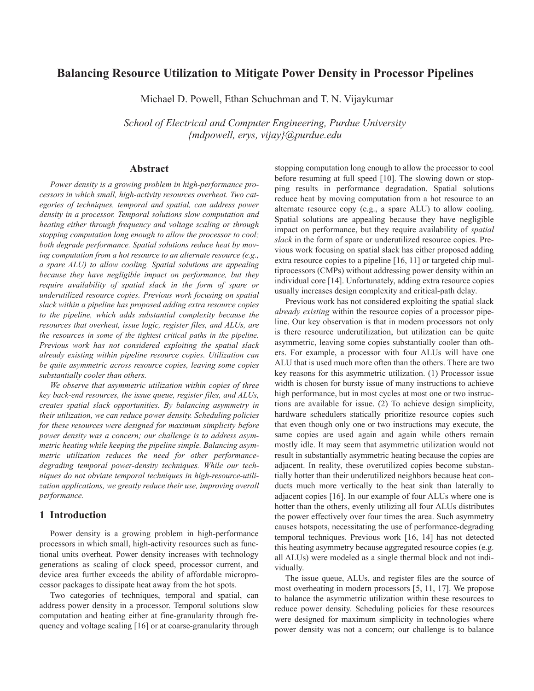# **Balancing Resource Utilization to Mitigate Power Density in Processor Pipelines**

Michael D. Powell, Ethan Schuchman and T. N. Vijaykumar

*School of Electrical and Computer Engineering, Purdue University {mdpowell, erys, vijay}@purdue.edu*

# **Abstract**

*Power density is a growing problem in high-performance processors in which small, high-activity resources overheat. Two categories of techniques, temporal and spatial, can address power density in a processor. Temporal solutions slow computation and heating either through frequency and voltage scaling or through stopping computation long enough to allow the processor to cool; both degrade performance. Spatial solutions reduce heat by moving computation from a hot resource to an alternate resource (e.g., a spare ALU) to allow cooling. Spatial solutions are appealing because they have negligible impact on performance, but they require availability of spatial slack in the form of spare or underutilized resource copies. Previous work focusing on spatial slack within a pipeline has proposed adding extra resource copies to the pipeline, which adds substantial complexity because the resources that overheat, issue logic, register files, and ALUs, are the resources in some of the tightest critical paths in the pipeline. Previous work has not considered exploiting the spatial slack already existing within pipeline resource copies. Utilization can be quite asymmetric across resource copies, leaving some copies substantially cooler than others.* 

*We observe that asymmetric utilization within copies of three key back-end resources, the issue queue, register files, and ALUs, creates spatial slack opportunities. By balancing asymmetry in their utilization, we can reduce power density. Scheduling policies for these resources were designed for maximum simplicity before power density was a concern; our challenge is to address asymmetric heating while keeping the pipeline simple. Balancing asymmetric utilization reduces the need for other performancedegrading temporal power-density techniques. While our techniques do not obviate temporal techniques in high-resource-utilization applications, we greatly reduce their use, improving overall performance.*

# **1 Introduction**

Power density is a growing problem in high-performance processors in which small, high-activity resources such as functional units overheat. Power density increases with technology generations as scaling of clock speed, processor current, and device area further exceeds the ability of affordable microprocessor packages to dissipate heat away from the hot spots.

Two categories of techniques, temporal and spatial, can address power density in a processor. Temporal solutions slow computation and heating either at fine-granularity through frequency and voltage scaling [16] or at coarse-granularity through stopping computation long enough to allow the processor to cool before resuming at full speed [10]. The slowing down or stopping results in performance degradation. Spatial solutions reduce heat by moving computation from a hot resource to an alternate resource copy (e.g., a spare ALU) to allow cooling. Spatial solutions are appealing because they have negligible impact on performance, but they require availability of *spatial slack* in the form of spare or underutilized resource copies. Previous work focusing on spatial slack has either proposed adding extra resource copies to a pipeline [16, 11] or targeted chip multiprocessors (CMPs) without addressing power density within an individual core [14]. Unfortunately, adding extra resource copies usually increases design complexity and critical-path delay.

Previous work has not considered exploiting the spatial slack *already existing* within the resource copies of a processor pipeline. Our key observation is that in modern processors not only is there resource underutilization, but utilization can be quite asymmetric, leaving some copies substantially cooler than others. For example, a processor with four ALUs will have one ALU that is used much more often than the others. There are two key reasons for this asymmetric utilization. (1) Processor issue width is chosen for bursty issue of many instructions to achieve high performance, but in most cycles at most one or two instructions are available for issue. (2) To achieve design simplicity, hardware schedulers statically prioritize resource copies such that even though only one or two instructions may execute, the same copies are used again and again while others remain mostly idle. It may seem that asymmetric utilization would not result in substantially asymmetric heating because the copies are adjacent. In reality, these overutilized copies become substantially hotter than their underutilized neighbors because heat conducts much more vertically to the heat sink than laterally to adjacent copies [16]. In our example of four ALUs where one is hotter than the others, evenly utilizing all four ALUs distributes the power effectively over four times the area. Such asymmetry causes hotspots, necessitating the use of performance-degrading temporal techniques. Previous work [16, 14] has not detected this heating asymmetry because aggregated resource copies (e.g. all ALUs) were modeled as a single thermal block and not individually.

The issue queue, ALUs, and register files are the source of most overheating in modern processors [5, 11, 17]. We propose to balance the asymmetric utilization within these resources to reduce power density. Scheduling policies for these resources were designed for maximum simplicity in technologies where power density was not a concern; our challenge is to balance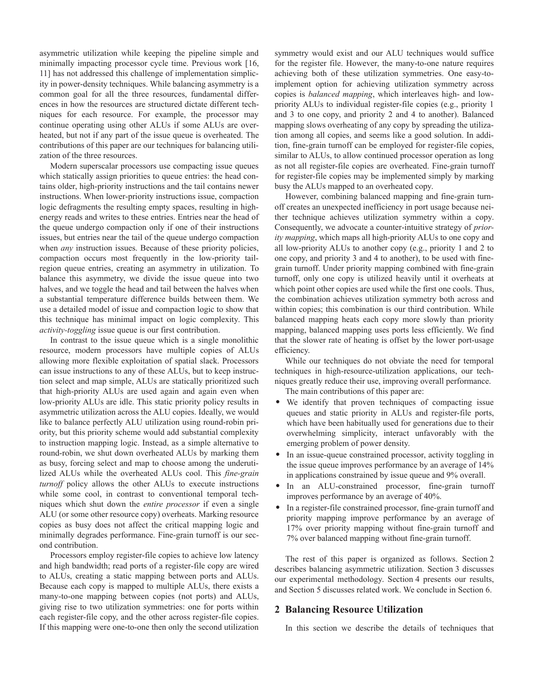asymmetric utilization while keeping the pipeline simple and minimally impacting processor cycle time. Previous work [16, 11] has not addressed this challenge of implementation simplicity in power-density techniques. While balancing asymmetry is a common goal for all the three resources, fundamental differences in how the resources are structured dictate different techniques for each resource. For example, the processor may continue operating using other ALUs if some ALUs are overheated, but not if any part of the issue queue is overheated. The contributions of this paper are our techniques for balancing utilization of the three resources.

Modern superscalar processors use compacting issue queues which statically assign priorities to queue entries: the head contains older, high-priority instructions and the tail contains newer instructions. When lower-priority instructions issue, compaction logic defragments the resulting empty spaces, resulting in highenergy reads and writes to these entries. Entries near the head of the queue undergo compaction only if one of their instructions issues, but entries near the tail of the queue undergo compaction when *any* instruction issues. Because of these priority policies, compaction occurs most frequently in the low-priority tailregion queue entries, creating an asymmetry in utilization. To balance this asymmetry, we divide the issue queue into two halves, and we toggle the head and tail between the halves when a substantial temperature difference builds between them. We use a detailed model of issue and compaction logic to show that this technique has minimal impact on logic complexity. This *activity-toggling* issue queue is our first contribution.

In contrast to the issue queue which is a single monolithic resource, modern processors have multiple copies of ALUs allowing more flexible exploitation of spatial slack. Processors can issue instructions to any of these ALUs, but to keep instruction select and map simple, ALUs are statically prioritized such that high-priority ALUs are used again and again even when low-priority ALUs are idle. This static priority policy results in asymmetric utilization across the ALU copies. Ideally, we would like to balance perfectly ALU utilization using round-robin priority, but this priority scheme would add substantial complexity to instruction mapping logic. Instead, as a simple alternative to round-robin, we shut down overheated ALUs by marking them as busy, forcing select and map to choose among the underutilized ALUs while the overheated ALUs cool. This *fine-grain turnoff* policy allows the other ALUs to execute instructions while some cool, in contrast to conventional temporal techniques which shut down the *entire processor* if even a single ALU (or some other resource copy) overheats. Marking resource copies as busy does not affect the critical mapping logic and minimally degrades performance. Fine-grain turnoff is our second contribution.

Processors employ register-file copies to achieve low latency and high bandwidth; read ports of a register-file copy are wired to ALUs, creating a static mapping between ports and ALUs. Because each copy is mapped to multiple ALUs, there exists a many-to-one mapping between copies (not ports) and ALUs, giving rise to two utilization symmetries: one for ports within each register-file copy, and the other across register-file copies. If this mapping were one-to-one then only the second utilization

symmetry would exist and our ALU techniques would suffice for the register file. However, the many-to-one nature requires achieving both of these utilization symmetries. One easy-toimplement option for achieving utilization symmetry across copies is *balanced mapping*, which interleaves high- and lowpriority ALUs to individual register-file copies (e.g., priority 1 and 3 to one copy, and priority 2 and 4 to another). Balanced mapping slows overheating of any copy by spreading the utilization among all copies, and seems like a good solution. In addition, fine-grain turnoff can be employed for register-file copies, similar to ALUs, to allow continued processor operation as long as not all register-file copies are overheated. Fine-grain turnoff for register-file copies may be implemented simply by marking busy the ALUs mapped to an overheated copy.

However, combining balanced mapping and fine-grain turnoff creates an unexpected inefficiency in port usage because neither technique achieves utilization symmetry within a copy. Consequently, we advocate a counter-intuitive strategy of *priority mapping*, which maps all high-priority ALUs to one copy and all low-priority ALUs to another copy (e.g., priority 1 and 2 to one copy, and priority 3 and 4 to another), to be used with finegrain turnoff. Under priority mapping combined with fine-grain turnoff, only one copy is utilized heavily until it overheats at which point other copies are used while the first one cools. Thus, the combination achieves utilization symmetry both across and within copies; this combination is our third contribution. While balanced mapping heats each copy more slowly than priority mapping, balanced mapping uses ports less efficiently. We find that the slower rate of heating is offset by the lower port-usage efficiency.

While our techniques do not obviate the need for temporal techniques in high-resource-utilization applications, our techniques greatly reduce their use, improving overall performance.

The main contributions of this paper are:

- **•** We identify that proven techniques of compacting issue queues and static priority in ALUs and register-file ports, which have been habitually used for generations due to their overwhelming simplicity, interact unfavorably with the emerging problem of power density.
- **•** In an issue-queue constrained processor, activity toggling in the issue queue improves performance by an average of 14% in applications constrained by issue queue and 9% overall.
- In an ALU-constrained processor, fine-grain turnoff improves performance by an average of 40%.
- **•** In a register-file constrained processor, fine-grain turnoff and priority mapping improve performance by an average of 17% over priority mapping without fine-grain turnoff and 7% over balanced mapping without fine-grain turnoff.

The rest of this paper is organized as follows. Section 2 describes balancing asymmetric utilization. Section 3 discusses our experimental methodology. Section 4 presents our results, and Section 5 discusses related work. We conclude in Section 6.

# **2 Balancing Resource Utilization**

In this section we describe the details of techniques that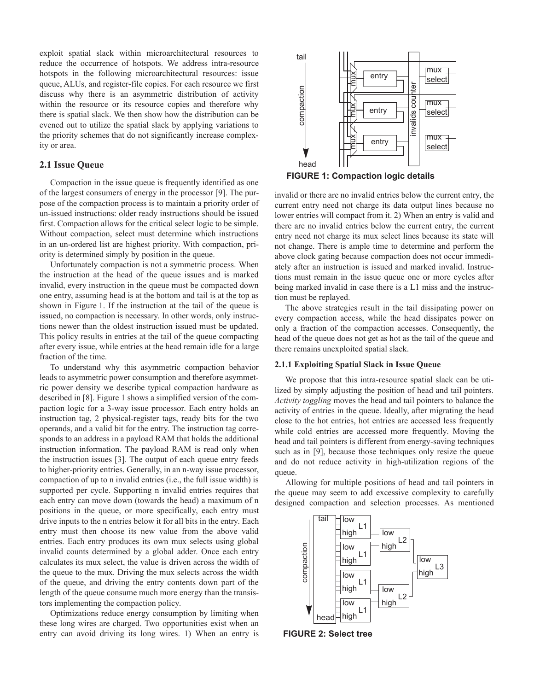exploit spatial slack within microarchitectural resources to reduce the occurrence of hotspots. We address intra-resource hotspots in the following microarchitectural resources: issue queue, ALUs, and register-file copies. For each resource we first discuss why there is an asymmetric distribution of activity within the resource or its resource copies and therefore why there is spatial slack. We then show how the distribution can be evened out to utilize the spatial slack by applying variations to the priority schemes that do not significantly increase complexity or area.

#### **2.1 Issue Queue**

Compaction in the issue queue is frequently identified as one of the largest consumers of energy in the processor [9]. The purpose of the compaction process is to maintain a priority order of un-issued instructions: older ready instructions should be issued first. Compaction allows for the critical select logic to be simple. Without compaction, select must determine which instructions in an un-ordered list are highest priority. With compaction, priority is determined simply by position in the queue.

Unfortunately compaction is not a symmetric process. When the instruction at the head of the queue issues and is marked invalid, every instruction in the queue must be compacted down one entry, assuming head is at the bottom and tail is at the top as shown in Figure 1. If the instruction at the tail of the queue is issued, no compaction is necessary. In other words, only instructions newer than the oldest instruction issued must be updated. This policy results in entries at the tail of the queue compacting after every issue, while entries at the head remain idle for a large fraction of the time.

To understand why this asymmetric compaction behavior leads to asymmetric power consumption and therefore asymmetric power density we describe typical compaction hardware as described in [8]. Figure 1 shows a simplified version of the compaction logic for a 3-way issue processor. Each entry holds an instruction tag, 2 physical-register tags, ready bits for the two operands, and a valid bit for the entry. The instruction tag corresponds to an address in a payload RAM that holds the additional instruction information. The payload RAM is read only when the instruction issues [3]. The output of each queue entry feeds to higher-priority entries. Generally, in an n-way issue processor, compaction of up to n invalid entries (i.e., the full issue width) is supported per cycle. Supporting n invalid entries requires that each entry can move down (towards the head) a maximum of n positions in the queue, or more specifically, each entry must drive inputs to the n entries below it for all bits in the entry. Each entry must then choose its new value from the above valid entries. Each entry produces its own mux selects using global invalid counts determined by a global adder. Once each entry calculates its mux select, the value is driven across the width of the queue to the mux. Driving the mux selects across the width of the queue, and driving the entry contents down part of the length of the queue consume much more energy than the transistors implementing the compaction policy.

Optimizations reduce energy consumption by limiting when these long wires are charged. Two opportunities exist when an entry can avoid driving its long wires. 1) When an entry is



invalid or there are no invalid entries below the current entry, the current entry need not charge its data output lines because no lower entries will compact from it. 2) When an entry is valid and there are no invalid entries below the current entry, the current entry need not charge its mux select lines because its state will not change. There is ample time to determine and perform the above clock gating because compaction does not occur immediately after an instruction is issued and marked invalid. Instructions must remain in the issue queue one or more cycles after being marked invalid in case there is a L1 miss and the instruction must be replayed.

The above strategies result in the tail dissipating power on every compaction access, while the head dissipates power on only a fraction of the compaction accesses. Consequently, the head of the queue does not get as hot as the tail of the queue and there remains unexploited spatial slack.

#### **2.1.1 Exploiting Spatial Slack in Issue Queue**

We propose that this intra-resource spatial slack can be utilized by simply adjusting the position of head and tail pointers. *Activity toggling* moves the head and tail pointers to balance the activity of entries in the queue. Ideally, after migrating the head close to the hot entries, hot entries are accessed less frequently while cold entries are accessed more frequently. Moving the head and tail pointers is different from energy-saving techniques such as in [9], because those techniques only resize the queue and do not reduce activity in high-utilization regions of the queue.

Allowing for multiple positions of head and tail pointers in the queue may seem to add excessive complexity to carefully designed compaction and selection processes. As mentioned



**FIGURE 2: Select tree**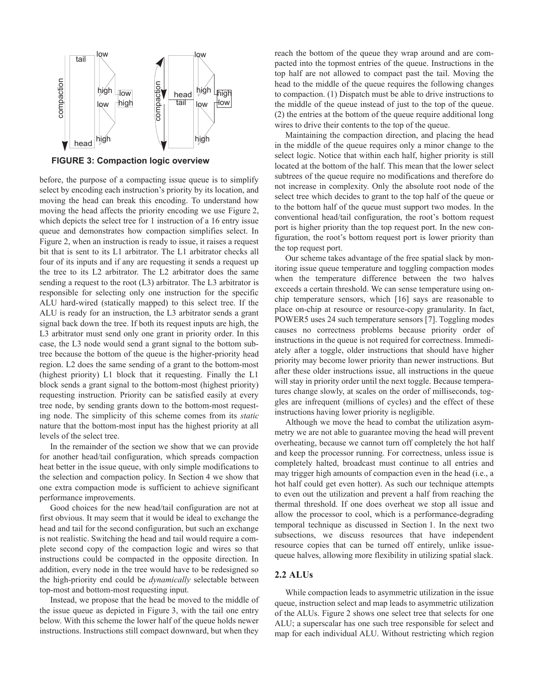

**FIGURE 3: Compaction logic overview**

before, the purpose of a compacting issue queue is to simplify select by encoding each instruction's priority by its location, and moving the head can break this encoding. To understand how moving the head affects the priority encoding we use Figure 2, which depicts the select tree for 1 instruction of a 16 entry issue queue and demonstrates how compaction simplifies select. In Figure 2, when an instruction is ready to issue, it raises a request bit that is sent to its L1 arbitrator. The L1 arbitrator checks all four of its inputs and if any are requesting it sends a request up the tree to its L2 arbitrator. The L2 arbitrator does the same sending a request to the root (L3) arbitrator. The L3 arbitrator is responsible for selecting only one instruction for the specific ALU hard-wired (statically mapped) to this select tree. If the ALU is ready for an instruction, the L3 arbitrator sends a grant signal back down the tree. If both its request inputs are high, the L3 arbitrator must send only one grant in priority order. In this case, the L3 node would send a grant signal to the bottom subtree because the bottom of the queue is the higher-priority head region. L2 does the same sending of a grant to the bottom-most (highest priority) L1 block that it requesting. Finally the L1 block sends a grant signal to the bottom-most (highest priority) requesting instruction. Priority can be satisfied easily at every tree node, by sending grants down to the bottom-most requesting node. The simplicity of this scheme comes from its *static* nature that the bottom-most input has the highest priority at all levels of the select tree.

In the remainder of the section we show that we can provide for another head/tail configuration, which spreads compaction heat better in the issue queue, with only simple modifications to the selection and compaction policy. In Section 4 we show that one extra compaction mode is sufficient to achieve significant performance improvements.

Good choices for the new head/tail configuration are not at first obvious. It may seem that it would be ideal to exchange the head and tail for the second configuration, but such an exchange is not realistic. Switching the head and tail would require a complete second copy of the compaction logic and wires so that instructions could be compacted in the opposite direction. In addition, every node in the tree would have to be redesigned so the high-priority end could be *dynamically* selectable between top-most and bottom-most requesting input.

Instead, we propose that the head be moved to the middle of the issue queue as depicted in Figure 3, with the tail one entry below. With this scheme the lower half of the queue holds newer instructions. Instructions still compact downward, but when they reach the bottom of the queue they wrap around and are compacted into the topmost entries of the queue. Instructions in the top half are not allowed to compact past the tail. Moving the head to the middle of the queue requires the following changes to compaction. (1) Dispatch must be able to drive instructions to the middle of the queue instead of just to the top of the queue. (2) the entries at the bottom of the queue require additional long wires to drive their contents to the top of the queue.

Maintaining the compaction direction, and placing the head in the middle of the queue requires only a minor change to the select logic. Notice that within each half, higher priority is still located at the bottom of the half. This mean that the lower select subtrees of the queue require no modifications and therefore do not increase in complexity. Only the absolute root node of the select tree which decides to grant to the top half of the queue or to the bottom half of the queue must support two modes. In the conventional head/tail configuration, the root's bottom request port is higher priority than the top request port. In the new configuration, the root's bottom request port is lower priority than the top request port.

Our scheme takes advantage of the free spatial slack by monitoring issue queue temperature and toggling compaction modes when the temperature difference between the two halves exceeds a certain threshold. We can sense temperature using onchip temperature sensors, which [16] says are reasonable to place on-chip at resource or resource-copy granularity. In fact, POWER5 uses 24 such temperature sensors [7]. Toggling modes causes no correctness problems because priority order of instructions in the queue is not required for correctness. Immediately after a toggle, older instructions that should have higher priority may become lower priority than newer instructions. But after these older instructions issue, all instructions in the queue will stay in priority order until the next toggle. Because temperatures change slowly, at scales on the order of milliseconds, toggles are infrequent (millions of cycles) and the effect of these instructions having lower priority is negligible.

Although we move the head to combat the utilization asymmetry we are not able to guarantee moving the head will prevent overheating, because we cannot turn off completely the hot half and keep the processor running. For correctness, unless issue is completely halted, broadcast must continue to all entries and may trigger high amounts of compaction even in the head (i.e., a hot half could get even hotter). As such our technique attempts to even out the utilization and prevent a half from reaching the thermal threshold. If one does overheat we stop all issue and allow the processor to cool, which is a performance-degrading temporal technique as discussed in Section 1. In the next two subsections, we discuss resources that have independent resource copies that can be turned off entirely, unlike issuequeue halves, allowing more flexibility in utilizing spatial slack.

## **2.2 ALUs**

While compaction leads to asymmetric utilization in the issue queue, instruction select and map leads to asymmetric utilization of the ALUs. Figure 2 shows one select tree that selects for one ALU; a superscalar has one such tree responsible for select and map for each individual ALU. Without restricting which region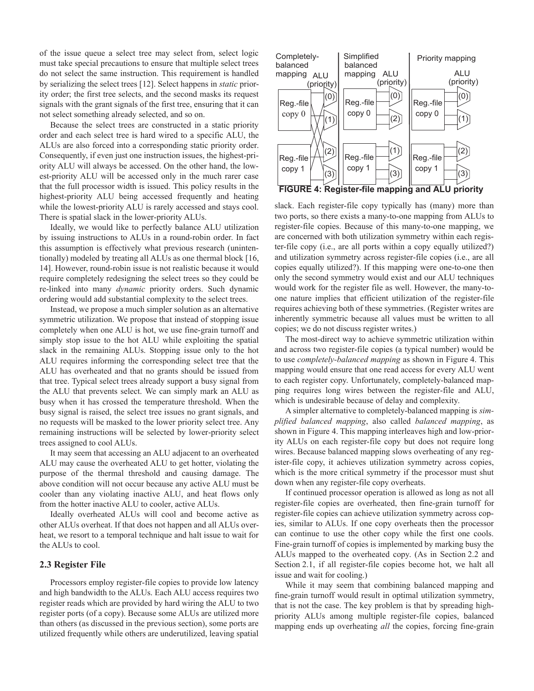of the issue queue a select tree may select from, select logic must take special precautions to ensure that multiple select trees do not select the same instruction. This requirement is handled by serializing the select trees [12]. Select happens in *static* priority order; the first tree selects, and the second masks its request signals with the grant signals of the first tree, ensuring that it can not select something already selected, and so on.

Because the select trees are constructed in a static priority order and each select tree is hard wired to a specific ALU, the ALUs are also forced into a corresponding static priority order. Consequently, if even just one instruction issues, the highest-priority ALU will always be accessed. On the other hand, the lowest-priority ALU will be accessed only in the much rarer case that the full processor width is issued. This policy results in the highest-priority ALU being accessed frequently and heating while the lowest-priority ALU is rarely accessed and stays cool. There is spatial slack in the lower-priority ALUs.

Ideally, we would like to perfectly balance ALU utilization by issuing instructions to ALUs in a round-robin order. In fact this assumption is effectively what previous research (unintentionally) modeled by treating all ALUs as one thermal block [16, 14]. However, round-robin issue is not realistic because it would require completely redesigning the select trees so they could be re-linked into many *dynamic* priority orders. Such dynamic ordering would add substantial complexity to the select trees.

Instead, we propose a much simpler solution as an alternative symmetric utilization. We propose that instead of stopping issue completely when one ALU is hot, we use fine-grain turnoff and simply stop issue to the hot ALU while exploiting the spatial slack in the remaining ALUs. Stopping issue only to the hot ALU requires informing the corresponding select tree that the ALU has overheated and that no grants should be issued from that tree. Typical select trees already support a busy signal from the ALU that prevents select. We can simply mark an ALU as busy when it has crossed the temperature threshold. When the busy signal is raised, the select tree issues no grant signals, and no requests will be masked to the lower priority select tree. Any remaining instructions will be selected by lower-priority select trees assigned to cool ALUs.

It may seem that accessing an ALU adjacent to an overheated ALU may cause the overheated ALU to get hotter, violating the purpose of the thermal threshold and causing damage. The above condition will not occur because any active ALU must be cooler than any violating inactive ALU, and heat flows only from the hotter inactive ALU to cooler, active ALUs.

Ideally overheated ALUs will cool and become active as other ALUs overheat. If that does not happen and all ALUs overheat, we resort to a temporal technique and halt issue to wait for the ALUs to cool.

#### **2.3 Register File**

Processors employ register-file copies to provide low latency and high bandwidth to the ALUs. Each ALU access requires two register reads which are provided by hard wiring the ALU to two register ports (of a copy). Because some ALUs are utilized more than others (as discussed in the previous section), some ports are utilized frequently while others are underutilized, leaving spatial



slack. Each register-file copy typically has (many) more than two ports, so there exists a many-to-one mapping from ALUs to register-file copies. Because of this many-to-one mapping, we are concerned with both utilization symmetry within each register-file copy (i.e., are all ports within a copy equally utilized?) and utilization symmetry across register-file copies (i.e., are all copies equally utilized?). If this mapping were one-to-one then only the second symmetry would exist and our ALU techniques would work for the register file as well. However, the many-toone nature implies that efficient utilization of the register-file requires achieving both of these symmetries. (Register writes are inherently symmetric because all values must be written to all copies; we do not discuss register writes.)

The most-direct way to achieve symmetric utilization within and across two register-file copies (a typical number) would be to use *completely-balanced mapping* as shown in Figure 4. This mapping would ensure that one read access for every ALU went to each register copy. Unfortunately, completely-balanced mapping requires long wires between the register-file and ALU, which is undesirable because of delay and complexity.

A simpler alternative to completely-balanced mapping is *simplified balanced mapping*, also called *balanced mapping*, as shown in Figure 4. This mapping interleaves high and low-priority ALUs on each register-file copy but does not require long wires. Because balanced mapping slows overheating of any register-file copy, it achieves utilization symmetry across copies, which is the more critical symmetry if the processor must shut down when any register-file copy overheats.

If continued processor operation is allowed as long as not all register-file copies are overheated, then fine-grain turnoff for register-file copies can achieve utilization symmetry across copies, similar to ALUs. If one copy overheats then the processor can continue to use the other copy while the first one cools. Fine-grain turnoff of copies is implemented by marking busy the ALUs mapped to the overheated copy. (As in Section 2.2 and Section 2.1, if all register-file copies become hot, we halt all issue and wait for cooling.)

While it may seem that combining balanced mapping and fine-grain turnoff would result in optimal utilization symmetry, that is not the case. The key problem is that by spreading highpriority ALUs among multiple register-file copies, balanced mapping ends up overheating *all* the copies, forcing fine-grain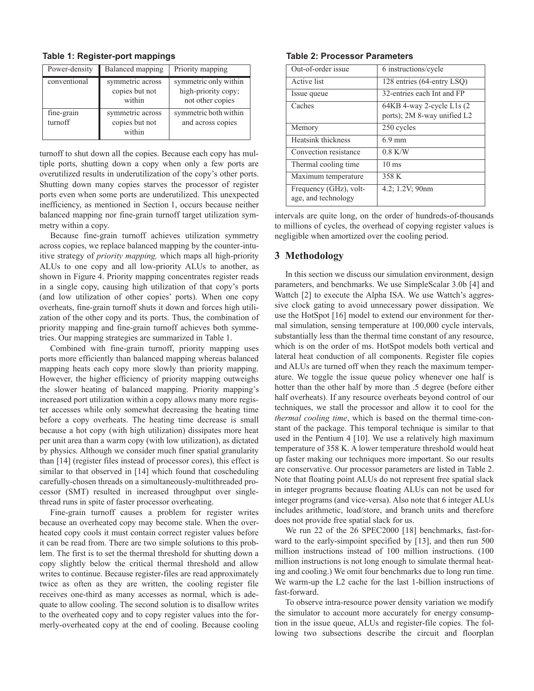**Table 1: Register-port mappings**

| Power-density         | Balanced mapping                             | Priority mapping                                                 |
|-----------------------|----------------------------------------------|------------------------------------------------------------------|
| conventional          | symmetric across<br>copies but not<br>within | symmetric only within<br>high-priority copy;<br>not other copies |
| fine-grain<br>turnoff | symmetric across<br>copies but not<br>within | symmetric both within<br>and across copies                       |

turnoff to shut down all the copies. Because each copy has multiple ports, shutting down a copy when only a few ports are overutilized results in underutilization of the copy's other ports. Shutting down many copies starves the processor of register ports even when some ports are underutilized. This unexpected inefficiency, as mentioned in Section 1, occurs because neither balanced mapping nor fine-grain turnoff target utilization symmetry within a copy.

Because fine-grain turnoff achieves utilization symmetry across copies, we replace balanced mapping by the counter-intuitive strategy of *priority mapping,* which maps all high-priority ALUs to one copy and all low-priority ALUs to another, as shown in Figure 4. Priority mapping concentrates register reads in a single copy, causing high utilization of that copy's ports (and low utilization of other copies' ports). When one copy overheats, fine-grain turnoff shuts it down and forces high utilization of the other copy and its ports. Thus, the combination of priority mapping and fine-grain turnoff achieves both symmetries. Our mapping strategies are summarized in Table 1.

Combined with fine-grain turnoff, priority mapping uses ports more efficiently than balanced mapping whereas balanced mapping heats each copy more slowly than priority mapping. However, the higher efficiency of priority mapping outweighs the slower heating of balanced mapping. Priority mapping's increased port utilization within a copy allows many more register accesses while only somewhat decreasing the heating time before a copy overheats. The heating time decrease is small because a hot copy (with high utilization) dissipates more heat per unit area than a warm copy (with low utilization), as dictated by physics. Although we consider much finer spatial granularity than [14] (register files instead of processor cores), this effect is similar to that observed in [14] which found that coscheduling carefully-chosen threads on a simultaneously-multithreaded processor (SMT) resulted in increased throughput over singlethread runs in spite of faster processor overheating.

Fine-grain turnoff causes a problem for register writes because an overheated copy may become stale. When the overheated copy cools it must contain correct register values before it can be read from. There are two simple solutions to this problem. The first is to set the thermal threshold for shutting down a copy slightly below the critical thermal threshold and allow writes to continue. Because register-files are read approximately twice as often as they are written, the cooling register file receives one-third as many accesses as normal, which is adequate to allow cooling. The second solution is to disallow writes to the overheated copy and to copy register values into the formerly-overheated copy at the end of cooling. Because cooling

#### **Table 2: Processor Parameters**

| Out-of-order issue                            | 6 instructions/cycle                                      |
|-----------------------------------------------|-----------------------------------------------------------|
| Active list                                   | 128 entries (64-entry LSQ)                                |
| Issue queue                                   | 32-entries each Int and FP                                |
| Caches                                        | 64KB 4-way 2-cycle L1s (2)<br>ports); 2M 8-way unified L2 |
| Memory                                        | 250 cycles                                                |
| Heatsink thickness                            | $6.9$ mm                                                  |
| Convection resistance                         | $0.8$ K/W                                                 |
| Thermal cooling time                          | $10 \text{ ms}$                                           |
| Maximum temperature                           | 358 K                                                     |
| Frequency (GHz), volt-<br>age, and technology | $4.2$ ; $1.2V$ ; $90nm$                                   |

intervals are quite long, on the order of hundreds-of-thousands to millions of cycles, the overhead of copying register values is negligible when amortized over the cooling period.

# **3 Methodology**

In this section we discuss our simulation environment, design parameters, and benchmarks. We use SimpleScalar 3.0b [4] and Wattch [2] to execute the Alpha ISA. We use Wattch's aggressive clock gating to avoid unnecessary power dissipation. We use the HotSpot [16] model to extend our environment for thermal simulation, sensing temperature at 100,000 cycle intervals, substantially less than the thermal time constant of any resource, which is on the order of ms. HotSpot models both vertical and lateral heat conduction of all components. Register file copies and ALUs are turned off when they reach the maximum temperature. We toggle the issue queue policy whenever one half is hotter than the other half by more than .5 degree (before either half overheats). If any resource overheats beyond control of our techniques, we stall the processor and allow it to cool for the *thermal cooling time*, which is based on the thermal time-constant of the package. This temporal technique is similar to that used in the Pentium 4 [10]. We use a relatively high maximum temperature of 358 K. A lower temperature threshold would heat up faster making our techniques more important. So our results are conservative. Our processor parameters are listed in Table 2. Note that floating point ALUs do not represent free spatial slack in integer programs because floating ALUs can not be used for integer programs (and vice-versa). Also note that 6 integer ALUs includes arithmetic, load/store, and branch units and therefore does not provide free spatial slack for us.

We run 22 of the 26 SPEC2000 [18] benchmarks, fast-forward to the early-simpoint specified by [13], and then run 500 million instructions instead of 100 million instructions. (100 million instructions is not long enough to simulate thermal heating and cooling.) We omit four benchmarks due to long run time. We warm-up the L2 cache for the last 1-billion instructions of fast-forward.

To observe intra-resource power density variation we modify the simulator to account more accurately for energy consumption in the issue queue, ALUs and register-file copies. The following two subsections describe the circuit and floorplan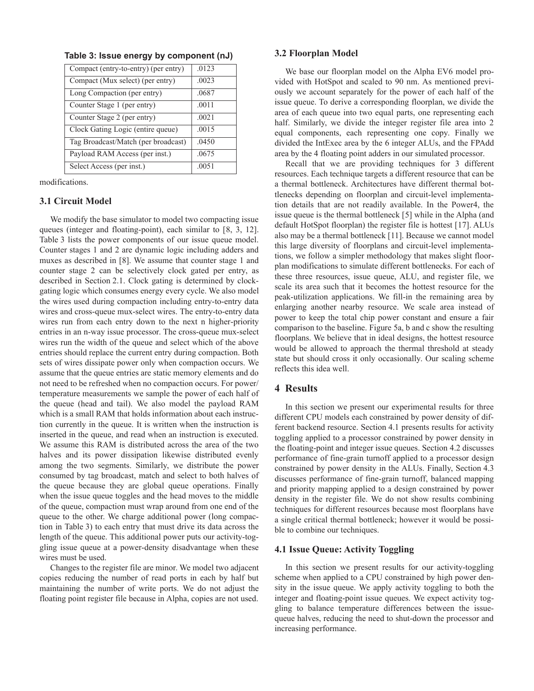| Compact (entry-to-entry) (per entry) | .0123 |
|--------------------------------------|-------|
| Compact (Mux select) (per entry)     | .0023 |
| Long Compaction (per entry)          | .0687 |
| Counter Stage 1 (per entry)          | .0011 |
| Counter Stage 2 (per entry)          | .0021 |
| Clock Gating Logic (entire queue)    | .0015 |
| Tag Broadcast/Match (per broadcast)  | .0450 |
| Payload RAM Access (per inst.)       | .0675 |
| Select Access (per inst.)            | .0051 |

**Table 3: Issue energy by component (nJ)**

modifications.

### **3.1 Circuit Model**

We modify the base simulator to model two compacting issue queues (integer and floating-point), each similar to [8, 3, 12]. Table 3 lists the power components of our issue queue model. Counter stages 1 and 2 are dynamic logic including adders and muxes as described in [8]. We assume that counter stage 1 and counter stage 2 can be selectively clock gated per entry, as described in Section 2.1. Clock gating is determined by clockgating logic which consumes energy every cycle. We also model the wires used during compaction including entry-to-entry data wires and cross-queue mux-select wires. The entry-to-entry data wires run from each entry down to the next n higher-priority entries in an n-way issue processor. The cross-queue mux-select wires run the width of the queue and select which of the above entries should replace the current entry during compaction. Both sets of wires dissipate power only when compaction occurs. We assume that the queue entries are static memory elements and do not need to be refreshed when no compaction occurs. For power/ temperature measurements we sample the power of each half of the queue (head and tail). We also model the payload RAM which is a small RAM that holds information about each instruction currently in the queue. It is written when the instruction is inserted in the queue, and read when an instruction is executed. We assume this RAM is distributed across the area of the two halves and its power dissipation likewise distributed evenly among the two segments. Similarly, we distribute the power consumed by tag broadcast, match and select to both halves of the queue because they are global queue operations. Finally when the issue queue toggles and the head moves to the middle of the queue, compaction must wrap around from one end of the queue to the other. We charge additional power (long compaction in Table 3) to each entry that must drive its data across the length of the queue. This additional power puts our activity-toggling issue queue at a power-density disadvantage when these wires must be used.

Changes to the register file are minor. We model two adjacent copies reducing the number of read ports in each by half but maintaining the number of write ports. We do not adjust the floating point register file because in Alpha, copies are not used.

#### **3.2 Floorplan Model**

We base our floorplan model on the Alpha EV6 model provided with HotSpot and scaled to 90 nm. As mentioned previously we account separately for the power of each half of the issue queue. To derive a corresponding floorplan, we divide the area of each queue into two equal parts, one representing each half. Similarly, we divide the integer register file area into 2 equal components, each representing one copy. Finally we divided the IntExec area by the 6 integer ALUs, and the FPAdd area by the 4 floating point adders in our simulated processor.

Recall that we are providing techniques for 3 different resources. Each technique targets a different resource that can be a thermal bottleneck. Architectures have different thermal bottlenecks depending on floorplan and circuit-level implementation details that are not readily available. In the Power4, the issue queue is the thermal bottleneck [5] while in the Alpha (and default HotSpot floorplan) the register file is hottest [17]. ALUs also may be a thermal bottleneck [11]. Because we cannot model this large diversity of floorplans and circuit-level implementations, we follow a simpler methodology that makes slight floorplan modifications to simulate different bottlenecks. For each of these three resources, issue queue, ALU, and register file, we scale its area such that it becomes the hottest resource for the peak-utilization applications. We fill-in the remaining area by enlarging another nearby resource. We scale area instead of power to keep the total chip power constant and ensure a fair comparison to the baseline. Figure 5a, b and c show the resulting floorplans. We believe that in ideal designs, the hottest resource would be allowed to approach the thermal threshold at steady state but should cross it only occasionally. Our scaling scheme reflects this idea well.

# **4 Results**

In this section we present our experimental results for three different CPU models each constrained by power density of different backend resource. Section 4.1 presents results for activity toggling applied to a processor constrained by power density in the floating-point and integer issue queues. Section 4.2 discusses performance of fine-grain turnoff applied to a processor design constrained by power density in the ALUs. Finally, Section 4.3 discusses performance of fine-grain turnoff, balanced mapping and priority mapping applied to a design constrained by power density in the register file. We do not show results combining techniques for different resources because most floorplans have a single critical thermal bottleneck; however it would be possible to combine our techniques.

## **4.1 Issue Queue: Activity Toggling**

In this section we present results for our activity-toggling scheme when applied to a CPU constrained by high power density in the issue queue. We apply activity toggling to both the integer and floating-point issue queues. We expect activity toggling to balance temperature differences between the issuequeue halves, reducing the need to shut-down the processor and increasing performance.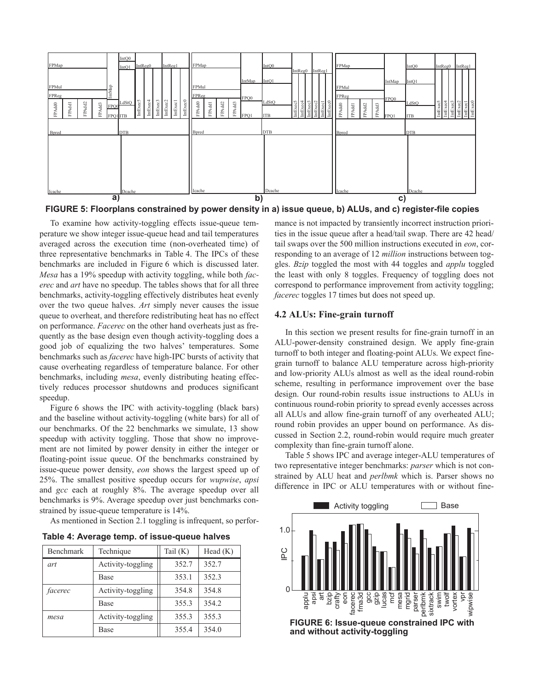

**FIGURE 5: Floorplans constrained by power density in a) issue queue, b) ALUs, and c) register-file copies**

To examine how activity-toggling effects issue-queue temperature we show integer issue-queue head and tail temperatures averaged across the execution time (non-overheated time) of three representative benchmarks in Table 4. The IPCs of these benchmarks are included in Figure 6 which is discussed later. *Mesa* has a 19% speedup with activity toggling, while both *facerec* and *art* have no speedup. The tables shows that for all three benchmarks, activity-toggling effectively distributes heat evenly over the two queue halves. *Art* simply never causes the issue queue to overheat, and therefore redistributing heat has no effect on performance. *Facerec* on the other hand overheats just as frequently as the base design even though activity-toggling does a good job of equalizing the two halves' temperatures. Some benchmarks such as *facerec* have high-IPC bursts of activity that cause overheating regardless of temperature balance. For other benchmarks, including *mesa*, evenly distributing heating effectively reduces processor shutdowns and produces significant speedup.

Figure 6 shows the IPC with activity-toggling (black bars) and the baseline without activity-toggling (white bars) for all of our benchmarks. Of the 22 benchmarks we simulate, 13 show speedup with activity toggling. Those that show no improvement are not limited by power density in either the integer or floating-point issue queue. Of the benchmarks constrained by issue-queue power density, *eon* shows the largest speed up of 25%. The smallest positive speedup occurs for *wupwise*, *apsi* and *gcc* each at roughly 8%. The average speedup over all benchmarks is 9%. Average speedup over just benchmarks constrained by issue-queue temperature is 14%.

As mentioned in Section 2.1 toggling is infrequent, so perfor-

| Benchmark | Technique         | Tail (K) | Head $(K)$ |
|-----------|-------------------|----------|------------|
| art       | Activity-toggling | 352.7    | 352.7      |
|           | <b>Base</b>       | 353.1    | 352.3      |
| facerec   | Activity-toggling | 354.8    | 354.8      |
|           | <b>Base</b>       | 355.3    | 354.2      |
| mesa      | Activity-toggling | 355.3    | 355.3      |
|           | <b>Base</b>       | 355.4    | 354.0      |

**Table 4: Average temp. of issue-queue halves**

mance is not impacted by transiently incorrect instruction priorities in the issue queue after a head/tail swap. There are 42 head/ tail swaps over the 500 million instructions executed in *eon*, corresponding to an average of 12 *million* instructions between toggles. *Bzip* toggled the most with 44 toggles and *applu* toggled the least with only 8 toggles. Frequency of toggling does not correspond to performance improvement from activity toggling; *facerec* toggles 17 times but does not speed up.

## **4.2 ALUs: Fine-grain turnoff**

In this section we present results for fine-grain turnoff in an ALU-power-density constrained design. We apply fine-grain turnoff to both integer and floating-point ALUs. We expect finegrain turnoff to balance ALU temperature across high-priority and low-priority ALUs almost as well as the ideal round-robin scheme, resulting in performance improvement over the base design. Our round-robin results issue instructions to ALUs in continuous round-robin priority to spread evenly accesses across all ALUs and allow fine-grain turnoff of any overheated ALU; round robin provides an upper bound on performance. As discussed in Section 2.2, round-robin would require much greater complexity than fine-grain turnoff alone.

Table 5 shows IPC and average integer-ALU temperatures of two representative integer benchmarks: *parser* which is not constrained by ALU heat and *perlbmk* which is. Parser shows no difference in IPC or ALU temperatures with or without fine-



**FIGURE 6: Issue-queue constrained IPC with and without activity-toggling**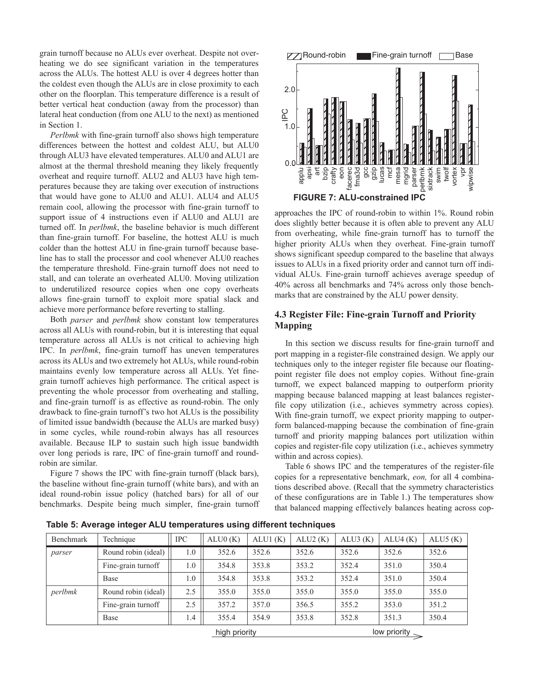grain turnoff because no ALUs ever overheat. Despite not overheating we do see significant variation in the temperatures across the ALUs. The hottest ALU is over 4 degrees hotter than the coldest even though the ALUs are in close proximity to each other on the floorplan. This temperature difference is a result of better vertical heat conduction (away from the processor) than lateral heat conduction (from one ALU to the next) as mentioned in Section 1.

*Perlbmk* with fine-grain turnoff also shows high temperature differences between the hottest and coldest ALU, but ALU0 through ALU3 have elevated temperatures. ALU0 and ALU1 are almost at the thermal threshold meaning they likely frequently overheat and require turnoff. ALU2 and ALU3 have high temperatures because they are taking over execution of instructions that would have gone to ALU0 and ALU1. ALU4 and ALU5 remain cool, allowing the processor with fine-grain turnoff to support issue of 4 instructions even if ALU0 and ALU1 are turned off. In *perlbmk*, the baseline behavior is much different than fine-grain turnoff. For baseline, the hottest ALU is much colder than the hottest ALU in fine-grain turnoff because baseline has to stall the processor and cool whenever ALU0 reaches the temperature threshold. Fine-grain turnoff does not need to stall, and can tolerate an overheated ALU0. Moving utilization to underutilized resource copies when one copy overheats allows fine-grain turnoff to exploit more spatial slack and achieve more performance before reverting to stalling.

Both *parser* and *perlbmk* show constant low temperatures across all ALUs with round-robin, but it is interesting that equal temperature across all ALUs is not critical to achieving high IPC. In *perlbmk*, fine-grain turnoff has uneven temperatures across its ALUs and two extremely hot ALUs, while round-robin maintains evenly low temperature across all ALUs. Yet finegrain turnoff achieves high performance. The critical aspect is preventing the whole processor from overheating and stalling, and fine-grain turnoff is as effective as round-robin. The only drawback to fine-grain turnoff's two hot ALUs is the possibility of limited issue bandwidth (because the ALUs are marked busy) in some cycles, while round-robin always has all resources available. Because ILP to sustain such high issue bandwidth over long periods is rare, IPC of fine-grain turnoff and roundrobin are similar.

Figure 7 shows the IPC with fine-grain turnoff (black bars), the baseline without fine-grain turnoff (white bars), and with an ideal round-robin issue policy (hatched bars) for all of our benchmarks. Despite being much simpler, fine-grain turnoff



approaches the IPC of round-robin to within 1%. Round robin does slightly better because it is often able to prevent any ALU from overheating, while fine-grain turnoff has to turnoff the higher priority ALUs when they overheat. Fine-grain turnoff shows significant speedup compared to the baseline that always issues to ALUs in a fixed priority order and cannot turn off individual ALUs. Fine-grain turnoff achieves average speedup of 40% across all benchmarks and 74% across only those benchmarks that are constrained by the ALU power density.

## **4.3 Register File: Fine-grain Turnoff and Priority Mapping**

In this section we discuss results for fine-grain turnoff and port mapping in a register-file constrained design. We apply our techniques only to the integer register file because our floatingpoint register file does not employ copies. Without fine-grain turnoff, we expect balanced mapping to outperform priority mapping because balanced mapping at least balances registerfile copy utilization (i.e., achieves symmetry across copies). With fine-grain turnoff, we expect priority mapping to outperform balanced-mapping because the combination of fine-grain turnoff and priority mapping balances port utilization within copies and register-file copy utilization (i.e., achieves symmetry within and across copies).

Table 6 shows IPC and the temperatures of the register-file copies for a representative benchmark, *eon,* for all 4 combinations described above. (Recall that the symmetry characteristics of these configurations are in Table 1.) The temperatures show that balanced mapping effectively balances heating across cop-

| Benchmark     | Technique           | <b>IPC</b> | ALU0(K) | ALU1(K) | ALU2(K) | ALU3(K)             | ALU4(K) | ALU5(K) |
|---------------|---------------------|------------|---------|---------|---------|---------------------|---------|---------|
| parser        | Round robin (ideal) | 1.0        | 352.6   | 352.6   | 352.6   | 352.6               | 352.6   | 352.6   |
|               | Fine-grain turnoff  | 1.0        | 354.8   | 353.8   | 353.2   | 352.4               | 351.0   | 350.4   |
|               | Base                | 1.0        | 354.8   | 353.8   | 353.2   | 352.4               | 351.0   | 350.4   |
| perlbmk       | Round robin (ideal) | 2.5        | 355.0   | 355.0   | 355.0   | 355.0               | 355.0   | 355.0   |
|               | Fine-grain turnoff  | 2.5        | 357.2   | 357.0   | 356.5   | 355.2               | 353.0   | 351.2   |
|               | Base                | 1.4        | 355.4   | 354.9   | 353.8   | 352.8               | 351.3   | 350.4   |
| high priority |                     |            |         |         |         | low priority $\sim$ |         |         |

**Table 5: Average integer ALU temperatures using different techniques**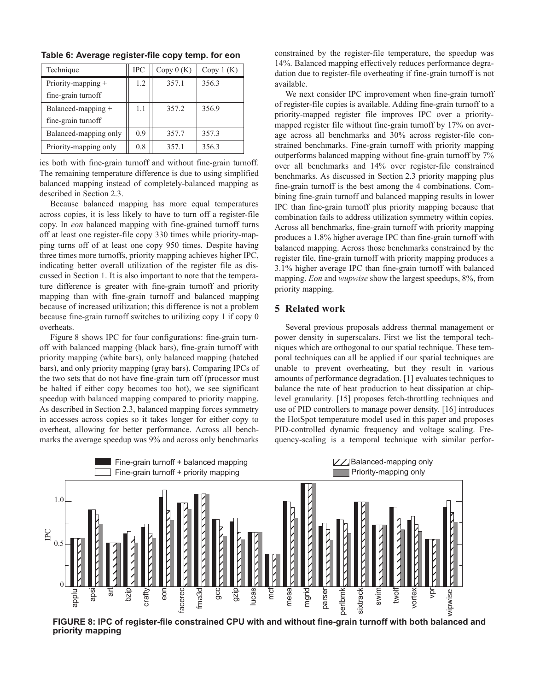| Technique             | <b>IPC</b> | Copy $0(K)$ | Copy $1(K)$ |
|-----------------------|------------|-------------|-------------|
| Priority-mapping +    | 1.2        | 357.1       | 356.3       |
| fine-grain turnoff    |            |             |             |
| Balanced-mapping +    | 1.1        | 357.2       | 356.9       |
| fine-grain turnoff    |            |             |             |
| Balanced-mapping only | 09         | 357.7       | 357.3       |
| Priority-mapping only | 0.8        | 357.1       | 356.3       |

**Table 6: Average register-file copy temp. for eon**

ies both with fine-grain turnoff and without fine-grain turnoff. The remaining temperature difference is due to using simplified balanced mapping instead of completely-balanced mapping as described in Section 2.3.

Because balanced mapping has more equal temperatures across copies, it is less likely to have to turn off a register-file copy. In *eon* balanced mapping with fine-grained turnoff turns off at least one register-file copy 330 times while priority-mapping turns off of at least one copy 950 times. Despite having three times more turnoffs, priority mapping achieves higher IPC, indicating better overall utilization of the register file as discussed in Section 1. It is also important to note that the temperature difference is greater with fine-grain turnoff and priority mapping than with fine-grain turnoff and balanced mapping because of increased utilization; this difference is not a problem because fine-grain turnoff switches to utilizing copy 1 if copy 0 overheats.

Figure 8 shows IPC for four configurations: fine-grain turnoff with balanced mapping (black bars), fine-grain turnoff with priority mapping (white bars), only balanced mapping (hatched bars), and only priority mapping (gray bars). Comparing IPCs of the two sets that do not have fine-grain turn off (processor must be halted if either copy becomes too hot), we see significant speedup with balanced mapping compared to priority mapping. As described in Section 2.3, balanced mapping forces symmetry in accesses across copies so it takes longer for either copy to overheat, allowing for better performance. Across all benchmarks the average speedup was 9% and across only benchmarks constrained by the register-file temperature, the speedup was 14%. Balanced mapping effectively reduces performance degradation due to register-file overheating if fine-grain turnoff is not available.

We next consider IPC improvement when fine-grain turnoff of register-file copies is available. Adding fine-grain turnoff to a priority-mapped register file improves IPC over a prioritymapped register file without fine-grain turnoff by 17% on average across all benchmarks and 30% across register-file constrained benchmarks. Fine-grain turnoff with priority mapping outperforms balanced mapping without fine-grain turnoff by 7% over all benchmarks and 14% over register-file constrained benchmarks. As discussed in Section 2.3 priority mapping plus fine-grain turnoff is the best among the 4 combinations. Combining fine-grain turnoff and balanced mapping results in lower IPC than fine-grain turnoff plus priority mapping because that combination fails to address utilization symmetry within copies. Across all benchmarks, fine-grain turnoff with priority mapping produces a 1.8% higher average IPC than fine-grain turnoff with balanced mapping. Across those benchmarks constrained by the register file, fine-grain turnoff with priority mapping produces a 3.1% higher average IPC than fine-grain turnoff with balanced mapping. *Eon* and *wupwise* show the largest speedups, 8%, from priority mapping.

# **5 Related work**

Several previous proposals address thermal management or power density in superscalars. First we list the temporal techniques which are orthogonal to our spatial technique. These temporal techniques can all be applied if our spatial techniques are unable to prevent overheating, but they result in various amounts of performance degradation. [1] evaluates techniques to balance the rate of heat production to heat dissipation at chiplevel granularity. [15] proposes fetch-throttling techniques and use of PID controllers to manage power density. [16] introduces the HotSpot temperature model used in this paper and proposes PID-controlled dynamic frequency and voltage scaling. Frequency-scaling is a temporal technique with similar perfor-



**FIGURE 8: IPC of register-file constrained CPU with and without fine-grain turnoff with both balanced and priority mapping**